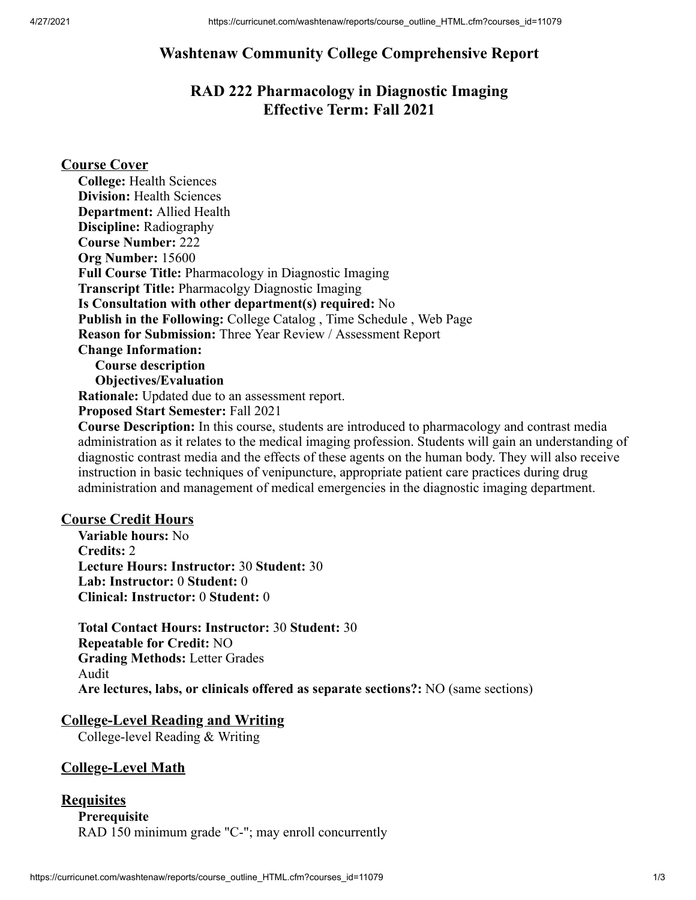# **Washtenaw Community College Comprehensive Report**

# **RAD 222 Pharmacology in Diagnostic Imaging Effective Term: Fall 2021**

#### **Course Cover**

**College:** Health Sciences **Division:** Health Sciences **Department:** Allied Health **Discipline:** Radiography **Course Number:** 222 **Org Number:** 15600 **Full Course Title:** Pharmacology in Diagnostic Imaging **Transcript Title:** Pharmacolgy Diagnostic Imaging **Is Consultation with other department(s) required:** No **Publish in the Following:** College Catalog , Time Schedule , Web Page **Reason for Submission:** Three Year Review / Assessment Report **Change Information: Course description Objectives/Evaluation Rationale:** Updated due to an assessment report. **Proposed Start Semester:** Fall 2021 **Course Description:** In this course, students are introduced to pharmacology and contrast media

administration as it relates to the medical imaging profession. Students will gain an understanding of diagnostic contrast media and the effects of these agents on the human body. They will also receive instruction in basic techniques of venipuncture, appropriate patient care practices during drug administration and management of medical emergencies in the diagnostic imaging department.

#### **Course Credit Hours**

**Variable hours:** No **Credits:** 2 **Lecture Hours: Instructor:** 30 **Student:** 30 **Lab: Instructor:** 0 **Student:** 0 **Clinical: Instructor:** 0 **Student:** 0

**Total Contact Hours: Instructor:** 30 **Student:** 30 **Repeatable for Credit:** NO **Grading Methods:** Letter Grades Audit **Are lectures, labs, or clinicals offered as separate sections?:** NO (same sections)

## **College-Level Reading and Writing**

College-level Reading & Writing

## **College-Level Math**

#### **Requisites**

**Prerequisite** RAD 150 minimum grade "C-"; may enroll concurrently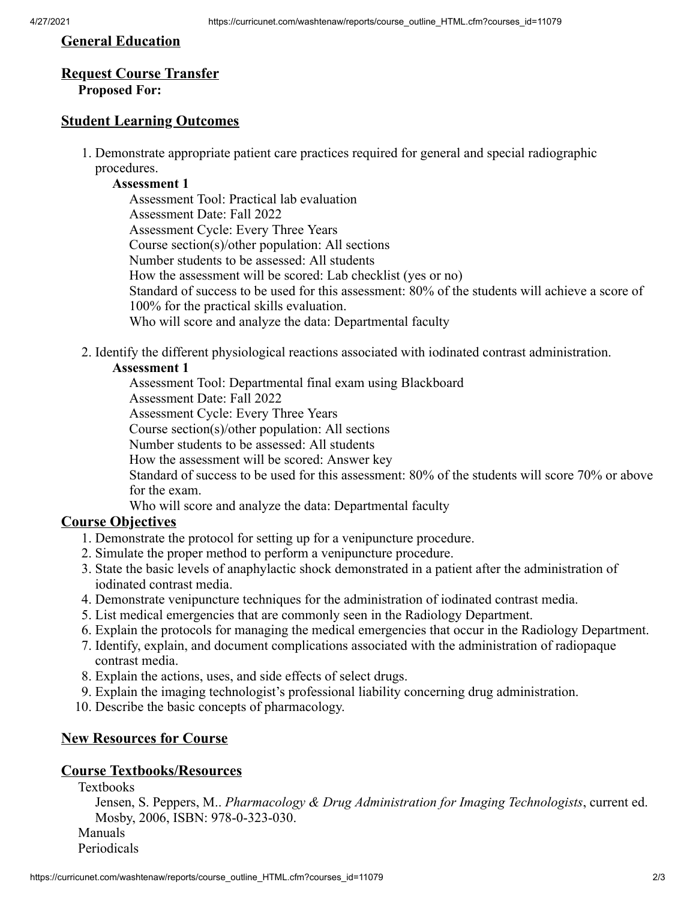#### **General Education**

# **Request Course Transfer**

## **Proposed For:**

## **Student Learning Outcomes**

1. Demonstrate appropriate patient care practices required for general and special radiographic procedures.

#### **Assessment 1**

Assessment Tool: Practical lab evaluation Assessment Date: Fall 2022 Assessment Cycle: Every Three Years Course section(s)/other population: All sections Number students to be assessed: All students How the assessment will be scored: Lab checklist (yes or no) Standard of success to be used for this assessment: 80% of the students will achieve a score of 100% for the practical skills evaluation. Who will score and analyze the data: Departmental faculty

2. Identify the different physiological reactions associated with iodinated contrast administration.

#### **Assessment 1**

Assessment Tool: Departmental final exam using Blackboard

Assessment Date: Fall 2022

Assessment Cycle: Every Three Years

Course section(s)/other population: All sections

Number students to be assessed: All students

How the assessment will be scored: Answer key

Standard of success to be used for this assessment: 80% of the students will score 70% or above for the exam.

Who will score and analyze the data: Departmental faculty

## **Course Objectives**

- 1. Demonstrate the protocol for setting up for a venipuncture procedure.
- 2. Simulate the proper method to perform a venipuncture procedure.
- 3. State the basic levels of anaphylactic shock demonstrated in a patient after the administration of iodinated contrast media.
- 4. Demonstrate venipuncture techniques for the administration of iodinated contrast media.
- 5. List medical emergencies that are commonly seen in the Radiology Department.
- 6. Explain the protocols for managing the medical emergencies that occur in the Radiology Department.
- 7. Identify, explain, and document complications associated with the administration of radiopaque contrast media.
- 8. Explain the actions, uses, and side effects of select drugs.
- 9. Explain the imaging technologist's professional liability concerning drug administration.
- 10. Describe the basic concepts of pharmacology.

## **New Resources for Course**

#### **Course Textbooks/Resources**

Textbooks

Jensen, S. Peppers, M.. *Pharmacology & Drug Administration for Imaging Technologists*, current ed. Mosby, 2006, ISBN: 978-0-323-030.

Manuals

Periodicals